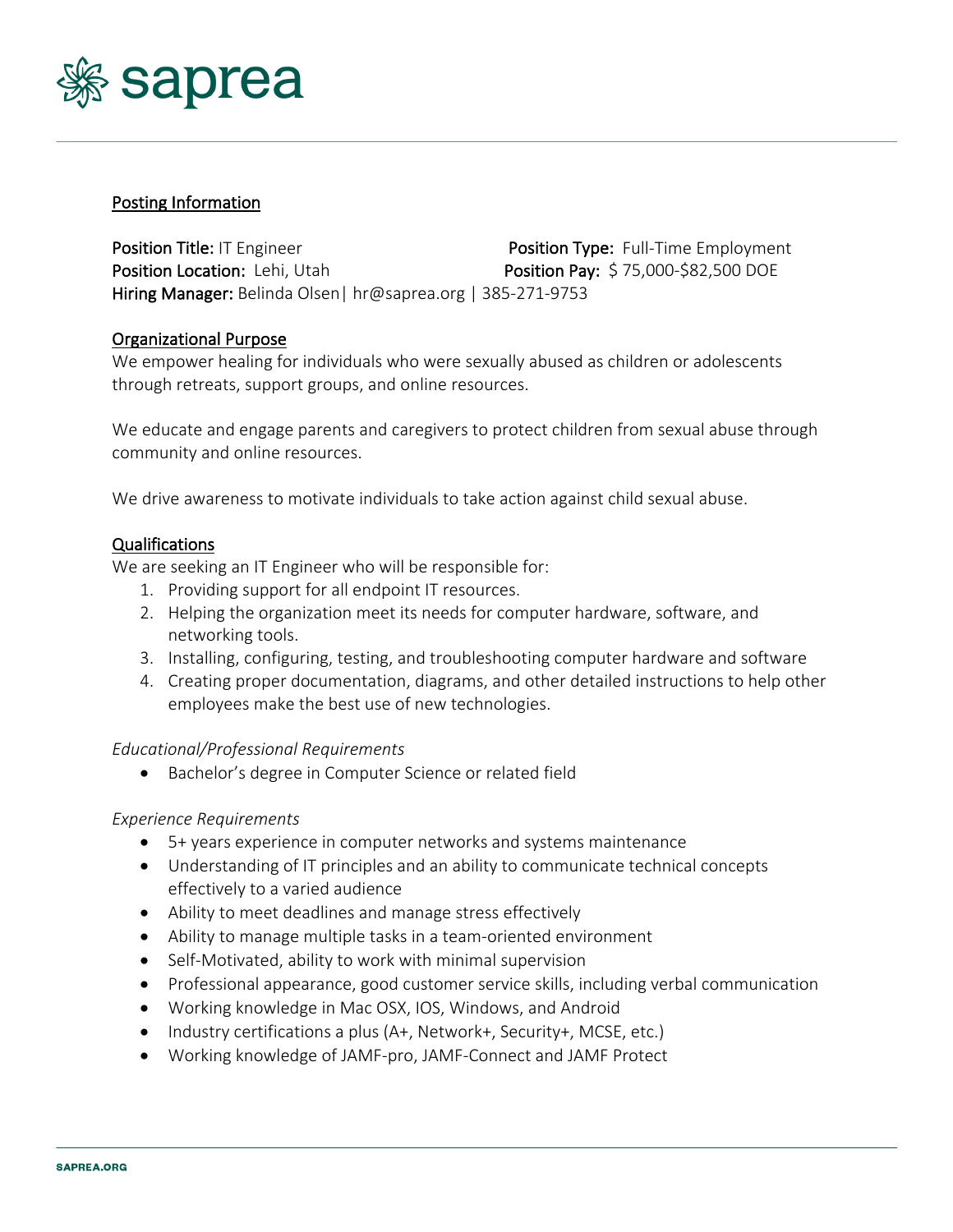

### Posting Information

Position Title: IT Engineer **Position Type: Full-Time Employment** Position Location: Lehi, Utah Position Pay: \$75,000-\$82,500 DOE Hiring Manager: Belinda Olsen| hr@saprea.org | 385-271-9753

### Organizational Purpose

We empower healing for individuals who were sexually abused as children or adolescents through retreats, support groups, and online resources.

We educate and engage parents and caregivers to protect children from sexual abuse through community and online resources.

We drive awareness to motivate individuals to take action against child sexual abuse.

#### Qualifications

We are seeking an IT Engineer who will be responsible for:

- 1. Providing support for all endpoint IT resources.
- 2. Helping the organization meet its needs for computer hardware, software, and networking tools.
- 3. Installing, configuring, testing, and troubleshooting computer hardware and software
- 4. Creating proper documentation, diagrams, and other detailed instructions to help other employees make the best use of new technologies.

#### *Educational/Professional Requirements*

• Bachelor's degree in Computer Science or related field

#### *Experience Requirements*

- 5+ years experience in computer networks and systems maintenance
- Understanding of IT principles and an ability to communicate technical concepts effectively to a varied audience
- Ability to meet deadlines and manage stress effectively
- Ability to manage multiple tasks in a team-oriented environment
- Self-Motivated, ability to work with minimal supervision
- Professional appearance, good customer service skills, including verbal communication
- Working knowledge in Mac OSX, IOS, Windows, and Android
- Industry certifications a plus (A+, Network+, Security+, MCSE, etc.)
- Working knowledge of JAMF-pro, JAMF-Connect and JAMF Protect